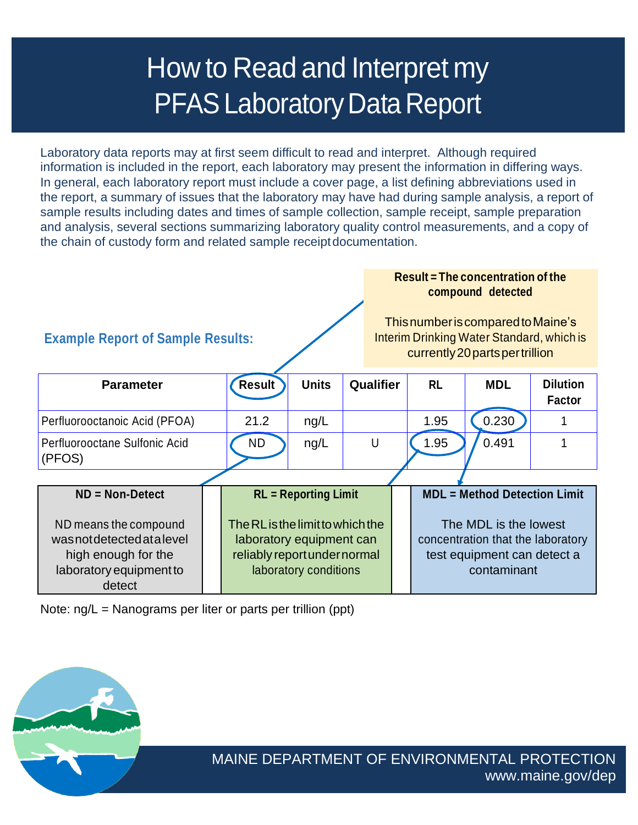# How to Read and Interpret my **PFAS Laboratory Data Report**

Laboratory data reports may at first seem difficult to read and interpret. Although required information is included in the report, each laboratory may present the information in differing ways. In general, each laboratory report must include a cover page, a list defining abbreviations used in the report, a summary of issues that the laboratory may have had during sample analysis, a report of sample results including dates and times of sample collection, sample receipt, sample preparation and analysis, several sections summarizing laboratory quality control measurements, and a copy of the chain of custody form and related sample receiptdocumentation.

| <b>Example Report of Sample Results:</b>                                                                                         |  |                                                                                                                                                      |              |           |   | Result $=$ The concentration of the<br>compound detected<br>This number is compared to Maine's<br>Interim Drinking Water Standard, which is<br>currently 20 parts per trillion |            |                                  |  |
|----------------------------------------------------------------------------------------------------------------------------------|--|------------------------------------------------------------------------------------------------------------------------------------------------------|--------------|-----------|---|--------------------------------------------------------------------------------------------------------------------------------------------------------------------------------|------------|----------------------------------|--|
| <b>Parameter</b>                                                                                                                 |  | Result                                                                                                                                               | <b>Units</b> | Qualifier |   | <b>RL</b>                                                                                                                                                                      | <b>MDL</b> | <b>Dilution</b><br><b>Factor</b> |  |
| Perfluorooctanoic Acid (PFOA)                                                                                                    |  | 21.2                                                                                                                                                 | ng/L         |           |   | 1.95                                                                                                                                                                           | 0.230      |                                  |  |
| Perfluorooctane Sulfonic Acid<br>(PFOS)                                                                                          |  | <b>ND</b>                                                                                                                                            | ng/L         |           | U | 1.95                                                                                                                                                                           | 0.491      |                                  |  |
|                                                                                                                                  |  |                                                                                                                                                      |              |           |   |                                                                                                                                                                                |            |                                  |  |
| $ND = Non-Detect$<br>ND means the compound<br>wasnotdetectedatalevel<br>high enough for the<br>laboratory equipment to<br>detect |  | <b>RL</b> = Reporting Limit<br>The RL is the limit to which the<br>laboratory equipment can<br>reliably report under normal<br>laboratory conditions |              |           |   | <b>MDL = Method Detection Limit</b><br>The MDL is the lowest<br>concentration that the laboratory<br>test equipment can detect a<br>contaminant                                |            |                                  |  |

Note: ng/L = Nanograms per liter or parts per trillion (ppt)

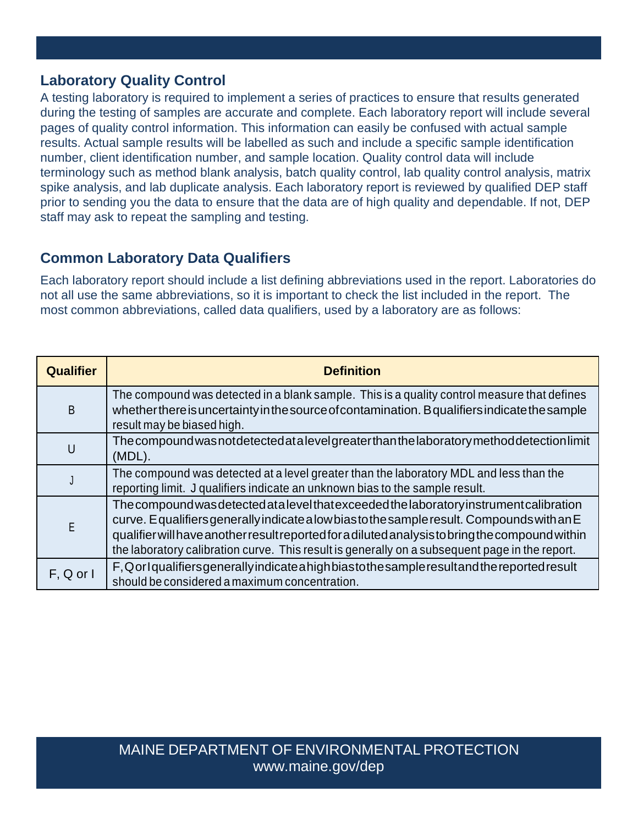# **Laboratory Quality Control**

A testing laboratory is required to implement a series of practices to ensure that results generated during the testing of samples are accurate and complete. Each laboratory report will include several pages of quality control information. This information can easily be confused with actual sample results. Actual sample results will be labelled as such and include a specific sample identification number, client identification number, and sample location. Quality control data will include terminology such as method blank analysis, batch quality control, lab quality control analysis, matrix spike analysis, and lab duplicate analysis. Each laboratory report is reviewed by qualified DEP staff prior to sending you the data to ensure that the data are of high quality and dependable. If not, DEP staff may ask to repeat the sampling and testing.

# **Common Laboratory Data Qualifiers**

Each laboratory report should include a list defining abbreviations used in the report. Laboratories do not all use the same abbreviations, so it is important to check the list included in the report. The most common abbreviations, called data qualifiers, used by a laboratory are as follows:

| <b>Qualifier</b> | <b>Definition</b>                                                                                                                                                                                                                                                                                                                                                                           |
|------------------|---------------------------------------------------------------------------------------------------------------------------------------------------------------------------------------------------------------------------------------------------------------------------------------------------------------------------------------------------------------------------------------------|
| B                | The compound was detected in a blank sample. This is a quality control measure that defines<br>whether there is uncertainty in the source of contamination. B qualifiers indicate the sample<br>result may be biased high.                                                                                                                                                                  |
| U                | The compound was not detected at a level greater than the laboratory method detection limit<br>$(MDL)$ .                                                                                                                                                                                                                                                                                    |
|                  | The compound was detected at a level greater than the laboratory MDL and less than the<br>reporting limit. J qualifiers indicate an unknown bias to the sample result.                                                                                                                                                                                                                      |
| E                | The compound was detected at a level that exceeded the laboratory instrument calibration<br>curve. Equalifiers generally indicate a low bias to the sample result. Compounds with an E<br>qualifier will have another result reported for a diluted analysis to bring the compound within<br>the laboratory calibration curve. This result is generally on a subsequent page in the report. |
| $F, Q$ or $I$    | F, Qorlqualifiers generally indicate a high bias to the sample result and the reported result<br>should be considered a maximum concentration.                                                                                                                                                                                                                                              |